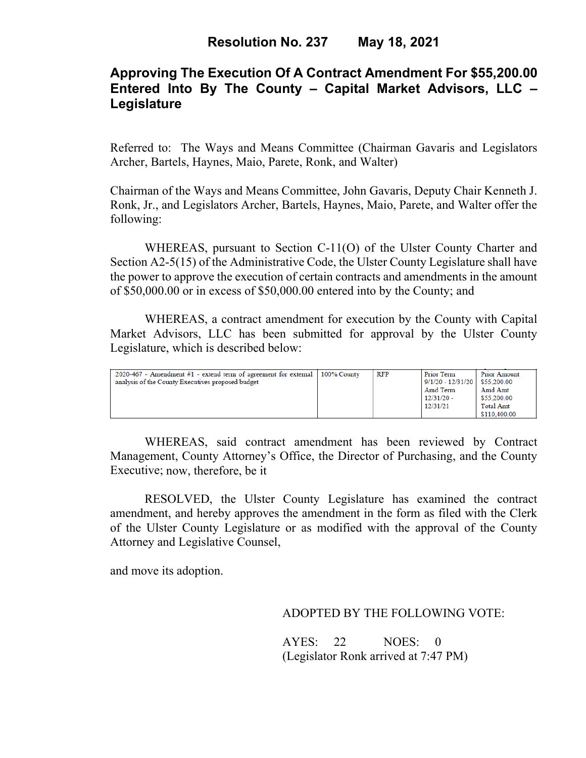# **Approving The Execution Of A Contract Amendment For \$55,200.00 Entered Into By The County – Capital Market Advisors, LLC – Legislature**

Referred to: The Ways and Means Committee (Chairman Gavaris and Legislators Archer, Bartels, Haynes, Maio, Parete, Ronk, and Walter)

Chairman of the Ways and Means Committee, John Gavaris, Deputy Chair Kenneth J. Ronk, Jr., and Legislators Archer, Bartels, Haynes, Maio, Parete, and Walter offer the following:

WHEREAS, pursuant to Section C-11(O) of the Ulster County Charter and Section A2-5(15) of the Administrative Code, the Ulster County Legislature shall have the power to approve the execution of certain contracts and amendments in the amount of \$50,000.00 or in excess of \$50,000.00 entered into by the County; and

WHEREAS, a contract amendment for execution by the County with Capital Market Advisors, LLC has been submitted for approval by the Ulster County Legislature, which is described below:

| 2020-467 - Amendment #1 - extend term of agreement for external $\mid$ 100% County<br>analysis of the County Executives proposed budget |  | RFP | Prior Term<br>$9/1/20 - 12/31/20$<br>Amd Term<br>$12/31/20 -$<br>12/31/21 | Prior Amount<br>\$55,200.00<br>Amd Amt<br>\$55,200.00<br><b>Total Amt</b><br>\$110,400.00 |
|-----------------------------------------------------------------------------------------------------------------------------------------|--|-----|---------------------------------------------------------------------------|-------------------------------------------------------------------------------------------|
|-----------------------------------------------------------------------------------------------------------------------------------------|--|-----|---------------------------------------------------------------------------|-------------------------------------------------------------------------------------------|

WHEREAS, said contract amendment has been reviewed by Contract Management, County Attorney's Office, the Director of Purchasing, and the County Executive; now, therefore, be it

RESOLVED, the Ulster County Legislature has examined the contract amendment, and hereby approves the amendment in the form as filed with the Clerk of the Ulster County Legislature or as modified with the approval of the County Attorney and Legislative Counsel,

and move its adoption.

### ADOPTED BY THE FOLLOWING VOTE:

AYES: 22 NOES: 0 (Legislator Ronk arrived at 7:47 PM)